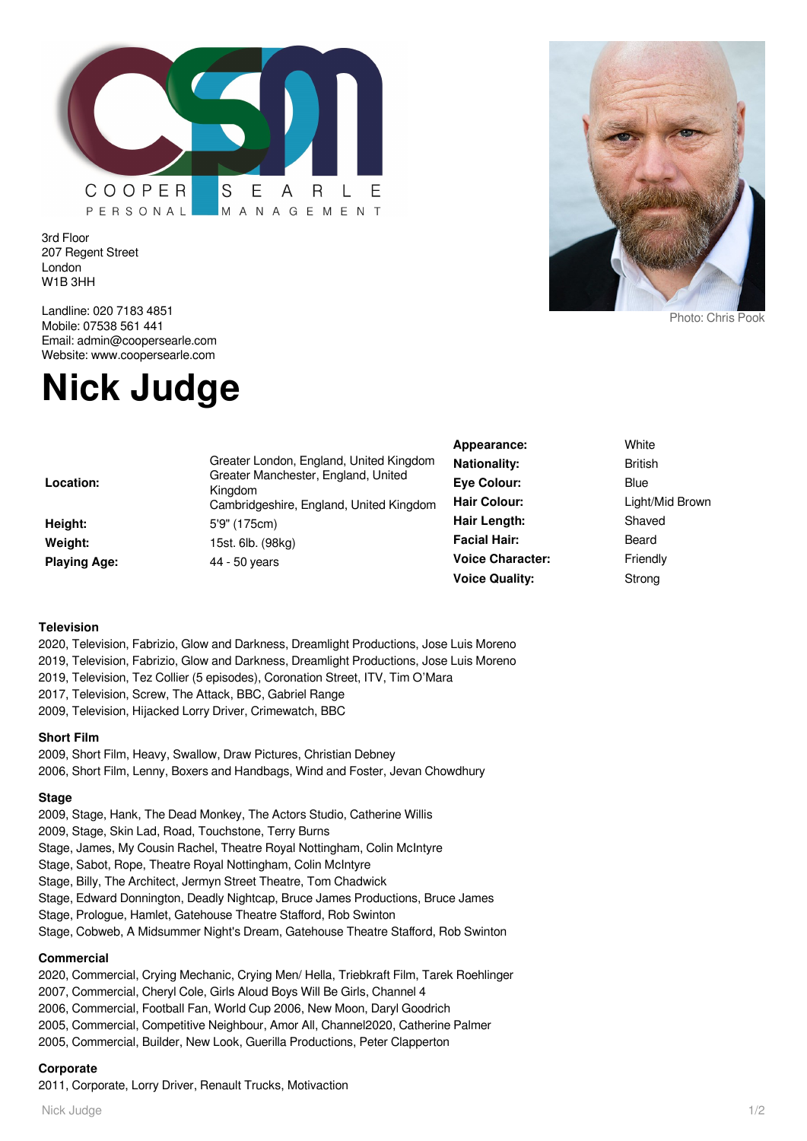

3rd Floor 207 Regent Street London W1B 3HH

Landline: 020 7183 4851 Mobile: 07538 561 441 Email: admin@coopersearle.com Website: www.coopersearle.com

# **Nick Judge**

|                     |                                                                                           | Appearance:             | White           |
|---------------------|-------------------------------------------------------------------------------------------|-------------------------|-----------------|
| Location:           | Greater London, England, United Kingdom<br>Greater Manchester, England, United<br>Kingdom | <b>Nationality:</b>     | <b>British</b>  |
|                     |                                                                                           | Eye Colour:             | <b>Blue</b>     |
|                     | Cambridgeshire, England, United Kingdom                                                   | <b>Hair Colour:</b>     | Light/Mid Browr |
| Height:             | 5'9" (175cm)                                                                              | Hair Length:            | Shaved          |
| Weight:             | 15st. 6lb. (98kg)                                                                         | <b>Facial Hair:</b>     | Beard           |
| <b>Playing Age:</b> | 44 - 50 years                                                                             | <b>Voice Character:</b> | Friendly        |
|                     |                                                                                           | <b>Voice Quality:</b>   | Strong          |
|                     |                                                                                           |                         |                 |

#### **Television**

2020, Television, Fabrizio, Glow and Darkness, Dreamlight Productions, Jose Luis Moreno

- 2019, Television, Fabrizio, Glow and Darkness, Dreamlight Productions, Jose Luis Moreno
- 2019, Television, Tez Collier (5 episodes), Coronation Street, ITV, Tim O'Mara
- 2017, Television, Screw, The Attack, BBC, Gabriel Range
- 2009, Television, Hijacked Lorry Driver, Crimewatch, BBC

#### **Short Film**

2009, Short Film, Heavy, Swallow, Draw Pictures, Christian Debney 2006, Short Film, Lenny, Boxers and Handbags, Wind and Foster, Jevan Chowdhury

#### **Stage**

2009, Stage, Hank, The Dead Monkey, The Actors Studio, Catherine Willis

2009, Stage, Skin Lad, Road, Touchstone, Terry Burns

- Stage, James, My Cousin Rachel, Theatre Royal Nottingham, Colin McIntyre
- Stage, Sabot, Rope, Theatre Royal Nottingham, Colin McIntyre
- Stage, Billy, The Architect, Jermyn Street Theatre, Tom Chadwick
- Stage, Edward Donnington, Deadly Nightcap, Bruce James Productions, Bruce James
- Stage, Prologue, Hamlet, Gatehouse Theatre Stafford, Rob Swinton
- Stage, Cobweb, A Midsummer Night's Dream, Gatehouse Theatre Stafford, Rob Swinton

# **Commercial**

2020, Commercial, Crying Mechanic, Crying Men/ Hella, Triebkraft Film, Tarek Roehlinger 2007, Commercial, Cheryl Cole, Girls Aloud Boys Will Be Girls, Channel 4 2006, Commercial, Football Fan, World Cup 2006, New Moon, Daryl Goodrich 2005, Commercial, Competitive Neighbour, Amor All, Channel2020, Catherine Palmer 2005, Commercial, Builder, New Look, Guerilla Productions, Peter Clapperton

# **Corporate**

2011, Corporate, Lorry Driver, Renault Trucks, Motivaction